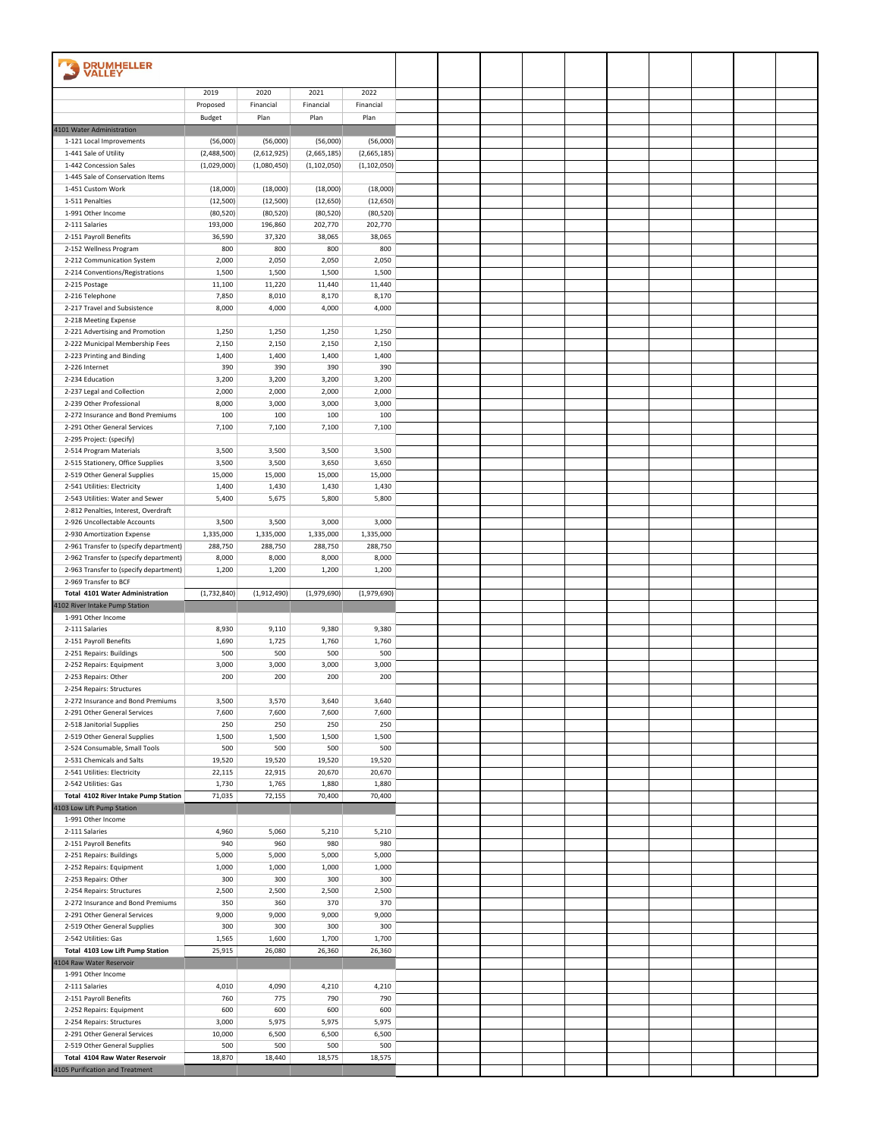| <b>DRUMHELLER</b><br>VALLEY                                              |                       |                       |                        |                        |  |  |  |  |  |
|--------------------------------------------------------------------------|-----------------------|-----------------------|------------------------|------------------------|--|--|--|--|--|
|                                                                          | 2019                  | 2020                  | 2021                   | 2022                   |  |  |  |  |  |
|                                                                          | Proposed              | Financial             | Financial              | Financial              |  |  |  |  |  |
|                                                                          | Budget                | Plan                  | Plan                   | Plan                   |  |  |  |  |  |
| 4101 Water Administration<br>1-121 Local Improvements                    | (56,000)              | (56,000)              | (56,000)               | (56,000)               |  |  |  |  |  |
| 1-441 Sale of Utility                                                    | (2,488,500)           | (2,612,925)           | (2,665,185)            | (2,665,185)            |  |  |  |  |  |
| 1-442 Concession Sales                                                   | (1,029,000)           | (1,080,450)           | (1, 102, 050)          | (1, 102, 050)          |  |  |  |  |  |
| 1-445 Sale of Conservation Items                                         |                       |                       |                        |                        |  |  |  |  |  |
| 1-451 Custom Work                                                        | (18,000)              | (18,000)              | (18,000)               | (18,000)               |  |  |  |  |  |
| 1-511 Penalties<br>1-991 Other Income                                    | (12,500)<br>(80, 520) | (12,500)<br>(80, 520) | (12, 650)<br>(80, 520) | (12, 650)<br>(80, 520) |  |  |  |  |  |
| 2-111 Salaries                                                           | 193,000               | 196,860               | 202,770                | 202,770                |  |  |  |  |  |
| 2-151 Payroll Benefits                                                   | 36,590                | 37,320                | 38,065                 | 38,065                 |  |  |  |  |  |
| 2-152 Wellness Program                                                   | 800                   | 800                   | 800                    | 800                    |  |  |  |  |  |
| 2-212 Communication System                                               | 2,000                 | 2,050                 | 2,050                  | 2,050                  |  |  |  |  |  |
| 2-214 Conventions/Registrations                                          | 1,500                 | 1,500                 | 1,500                  | 1,500                  |  |  |  |  |  |
| 2-215 Postage<br>2-216 Telephone                                         | 11,100<br>7,850       | 11,220<br>8,010       | 11,440<br>8,170        | 11,440<br>8,170        |  |  |  |  |  |
| 2-217 Travel and Subsistence                                             | 8,000                 | 4,000                 | 4,000                  | 4,000                  |  |  |  |  |  |
| 2-218 Meeting Expense                                                    |                       |                       |                        |                        |  |  |  |  |  |
| 2-221 Advertising and Promotion                                          | 1,250                 | 1,250                 | 1,250                  | 1,250                  |  |  |  |  |  |
| 2-222 Municipal Membership Fees                                          | 2,150                 | 2,150                 | 2,150                  | 2,150                  |  |  |  |  |  |
| 2-223 Printing and Binding                                               | 1,400                 | 1,400                 | 1,400                  | 1,400                  |  |  |  |  |  |
| 2-226 Internet<br>2-234 Education                                        | 390<br>3,200          | 390<br>3,200          | 390<br>3,200           | 390<br>3,200           |  |  |  |  |  |
| 2-237 Legal and Collection                                               | 2,000                 | 2,000                 | 2,000                  | 2,000                  |  |  |  |  |  |
| 2-239 Other Professional                                                 | 8,000                 | 3,000                 | 3,000                  | 3,000                  |  |  |  |  |  |
| 2-272 Insurance and Bond Premiums                                        | 100                   | 100                   | 100                    | 100                    |  |  |  |  |  |
| 2-291 Other General Services                                             | 7,100                 | 7,100                 | 7,100                  | 7,100                  |  |  |  |  |  |
| 2-295 Project: (specify)<br>2-514 Program Materials                      | 3,500                 | 3,500                 | 3,500                  | 3,500                  |  |  |  |  |  |
| 2-515 Stationery, Office Supplies                                        | 3,500                 | 3,500                 | 3,650                  | 3,650                  |  |  |  |  |  |
| 2-519 Other General Supplies                                             | 15,000                | 15,000                | 15,000                 | 15,000                 |  |  |  |  |  |
| 2-541 Utilities: Electricity                                             | 1,400                 | 1,430                 | 1,430                  | 1,430                  |  |  |  |  |  |
| 2-543 Utilities: Water and Sewer                                         | 5,400                 | 5,675                 | 5,800                  | 5,800                  |  |  |  |  |  |
| 2-812 Penalties, Interest, Overdraft<br>2-926 Uncollectable Accounts     | 3,500                 | 3,500                 | 3,000                  | 3,000                  |  |  |  |  |  |
| 2-930 Amortization Expense                                               | 1,335,000             | 1,335,000             | 1,335,000              | 1,335,000              |  |  |  |  |  |
| 2-961 Transfer to (specify department)                                   | 288,750               | 288,750               | 288,750                | 288,750                |  |  |  |  |  |
| 2-962 Transfer to (specify department)                                   | 8,000                 | 8,000                 | 8,000                  | 8,000                  |  |  |  |  |  |
|                                                                          |                       |                       |                        |                        |  |  |  |  |  |
| 2-963 Transfer to (specify department)                                   | 1,200                 | 1,200                 | 1,200                  | 1,200                  |  |  |  |  |  |
| 2-969 Transfer to BCF                                                    |                       |                       |                        |                        |  |  |  |  |  |
| <b>Total 4101 Water Administration</b><br>4102 River Intake Pump Station | (1,732,840)           | (1,912,490)           | (1,979,690)            | (1,979,690)            |  |  |  |  |  |
| 1-991 Other Income                                                       |                       |                       |                        |                        |  |  |  |  |  |
| 2-111 Salaries                                                           | 8,930                 | 9,110                 | 9,380                  | 9,380                  |  |  |  |  |  |
| 2-151 Payroll Benefits                                                   | 1,690                 | 1,725                 | 1,760                  | 1,760                  |  |  |  |  |  |
| 2-251 Repairs: Buildings                                                 | 500                   | 500                   | 500                    | 500                    |  |  |  |  |  |
| 2-252 Repairs: Equipment<br>2-253 Repairs: Other                         | 3,000<br>200          | 3,000<br>200          | 3,000<br>200           | 3,000<br>200           |  |  |  |  |  |
| 2-254 Repairs: Structures                                                |                       |                       |                        |                        |  |  |  |  |  |
| 2-272 Insurance and Bond Premiums                                        | 3,500                 | 3,570                 | 3,640                  | 3,640                  |  |  |  |  |  |
| 2-291 Other General Services                                             | 7,600                 | 7,600                 | 7,600                  | 7,600                  |  |  |  |  |  |
| 2-518 Janitorial Supplies                                                | 250                   | 250                   | 250                    | 250                    |  |  |  |  |  |
| 2-519 Other General Supplies<br>2-524 Consumable, Small Tools            | 1,500<br>500          | 1,500<br>500          | 1,500<br>500           | 1,500<br>500           |  |  |  |  |  |
| 2-531 Chemicals and Salts                                                | 19,520                | 19,520                | 19,520                 | 19,520                 |  |  |  |  |  |
| 2-541 Utilities: Electricity                                             | 22,115                | 22,915                | 20,670                 | 20,670                 |  |  |  |  |  |
| 2-542 Utilities: Gas                                                     | 1,730                 | 1,765                 | 1,880                  | 1,880                  |  |  |  |  |  |
| Total 4102 River Intake Pump Station<br>4103 Low Lift Pump Station       | 71,035                | 72,155                | 70,400                 | 70,400                 |  |  |  |  |  |
| 1-991 Other Income                                                       |                       |                       |                        |                        |  |  |  |  |  |
| 2-111 Salaries                                                           | 4,960                 | 5,060                 | 5,210                  | 5,210                  |  |  |  |  |  |
| 2-151 Payroll Benefits                                                   | 940                   | 960                   | 980                    | 980                    |  |  |  |  |  |
| 2-251 Repairs: Buildings                                                 | 5,000                 | 5,000                 | 5,000                  | 5,000                  |  |  |  |  |  |
| 2-252 Repairs: Equipment                                                 | 1,000<br>300          | 1,000<br>300          | 1,000<br>300           | 1,000<br>300           |  |  |  |  |  |
| 2-253 Repairs: Other<br>2-254 Repairs: Structures                        | 2,500                 | 2,500                 | 2,500                  | 2,500                  |  |  |  |  |  |
| 2-272 Insurance and Bond Premiums                                        | 350                   | 360                   | 370                    | 370                    |  |  |  |  |  |
| 2-291 Other General Services                                             | 9,000                 | 9,000                 | 9,000                  | 9,000                  |  |  |  |  |  |
| 2-519 Other General Supplies                                             | 300                   | 300                   | 300                    | 300                    |  |  |  |  |  |
| 2-542 Utilities: Gas                                                     | 1,565                 | 1,600                 | 1,700                  | 1,700                  |  |  |  |  |  |
| Total 4103 Low Lift Pump Station<br>4104 Raw Water Reservoir             | 25,915                | 26,080                | 26,360                 | 26,360                 |  |  |  |  |  |
| 1-991 Other Income                                                       |                       |                       |                        |                        |  |  |  |  |  |
| 2-111 Salaries                                                           | 4,010                 | 4,090                 | 4,210                  | 4,210                  |  |  |  |  |  |
| 2-151 Payroll Benefits                                                   | 760                   | 775                   | 790                    | 790                    |  |  |  |  |  |
| 2-252 Repairs: Equipment<br>2-254 Repairs: Structures                    | 600<br>3,000          | 600<br>5,975          | 600<br>5,975           | 600<br>5,975           |  |  |  |  |  |
| 2-291 Other General Services                                             | 10,000                | 6,500                 | 6,500                  | 6,500                  |  |  |  |  |  |
| 2-519 Other General Supplies                                             | 500                   | 500                   | 500                    | 500                    |  |  |  |  |  |
| Total 4104 Raw Water Reservoir<br>4105 Purification and Treatment        | 18,870                | 18,440                | 18,575                 | 18,575                 |  |  |  |  |  |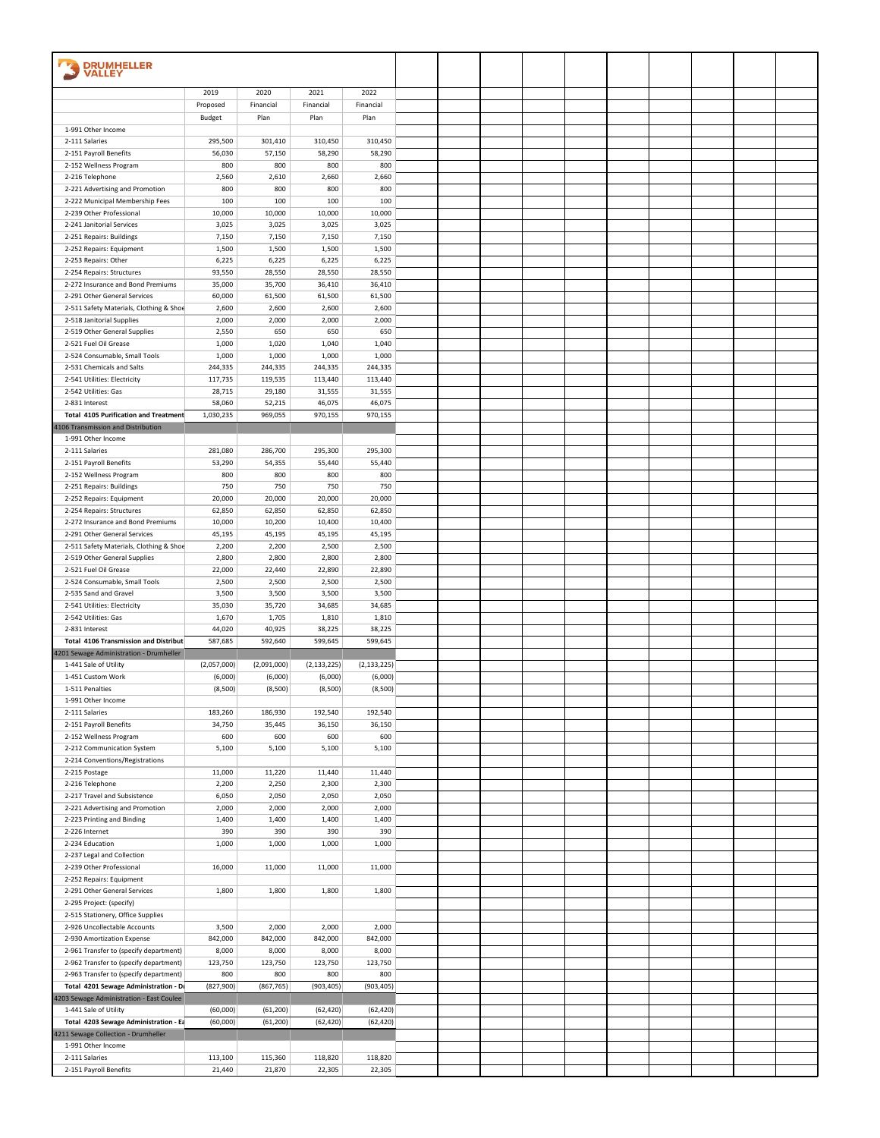| <b>DRUMHELLER</b><br><b>VALLEY</b>                     |                 |                 |                 |                 |  |  |  |  |  |
|--------------------------------------------------------|-----------------|-----------------|-----------------|-----------------|--|--|--|--|--|
|                                                        | 2019            | 2020            | 2021            | 2022            |  |  |  |  |  |
|                                                        | Proposed        | Financial       | Financial       | Financial       |  |  |  |  |  |
| 1-991 Other Income                                     | Budget          | Plan            | Plan            | Plan            |  |  |  |  |  |
| 2-111 Salaries                                         | 295,500         | 301,410         | 310,450         | 310,450         |  |  |  |  |  |
| 2-151 Payroll Benefits                                 | 56,030          | 57,150          | 58,290          | 58,290          |  |  |  |  |  |
| 2-152 Wellness Program                                 | 800             | 800             | 800             | 800             |  |  |  |  |  |
| 2-216 Telephone                                        | 2,560           | 2,610           | 2,660           | 2,660           |  |  |  |  |  |
| 2-221 Advertising and Promotion                        | 800             | 800             | 800             | 800             |  |  |  |  |  |
| 2-222 Municipal Membership Fees                        | 100             | 100             | 100             | 100             |  |  |  |  |  |
| 2-239 Other Professional                               | 10,000          | 10,000          | 10,000          | 10,000          |  |  |  |  |  |
| 2-241 Janitorial Services                              | 3,025           | 3,025           | 3,025           | 3,025           |  |  |  |  |  |
| 2-251 Repairs: Buildings                               | 7,150           | 7,150           | 7,150           | 7,150           |  |  |  |  |  |
| 2-252 Repairs: Equipment                               | 1,500           | 1,500           | 1,500           | 1,500           |  |  |  |  |  |
| 2-253 Repairs: Other                                   | 6,225           | 6,225           | 6,225           | 6,225           |  |  |  |  |  |
| 2-254 Repairs: Structures                              | 93,550          | 28,550          | 28,550          | 28,550          |  |  |  |  |  |
| 2-272 Insurance and Bond Premiums                      | 35,000          | 35,700          | 36,410          | 36,410          |  |  |  |  |  |
| 2-291 Other General Services                           | 60,000          | 61,500          | 61,500          | 61,500          |  |  |  |  |  |
| 2-511 Safety Materials, Clothing & Shoe                | 2,600           | 2,600           | 2,600           | 2,600           |  |  |  |  |  |
| 2-518 Janitorial Supplies                              | 2,000           | 2,000           | 2,000           | 2,000           |  |  |  |  |  |
| 2-519 Other General Supplies                           | 2,550           | 650             | 650             | 650             |  |  |  |  |  |
| 2-521 Fuel Oil Grease<br>2-524 Consumable, Small Tools | 1,000<br>1,000  | 1,020<br>1,000  | 1,040<br>1,000  | 1,040<br>1,000  |  |  |  |  |  |
| 2-531 Chemicals and Salts                              | 244,335         | 244,335         | 244,335         | 244,335         |  |  |  |  |  |
| 2-541 Utilities: Electricity                           | 117,735         | 119,535         | 113,440         | 113,440         |  |  |  |  |  |
| 2-542 Utilities: Gas                                   | 28,715          | 29,180          | 31,555          | 31,555          |  |  |  |  |  |
| 2-831 Interest                                         | 58,060          | 52,215          | 46,075          | 46,075          |  |  |  |  |  |
| <b>Total 4105 Purification and Treatment</b>           | 1,030,235       | 969,055         | 970,155         | 970,155         |  |  |  |  |  |
| 4106 Transmission and Distribution                     |                 |                 |                 |                 |  |  |  |  |  |
| 1-991 Other Income                                     |                 |                 |                 |                 |  |  |  |  |  |
| 2-111 Salaries                                         | 281,080         | 286,700         | 295,300         | 295,300         |  |  |  |  |  |
| 2-151 Payroll Benefits                                 | 53,290          | 54,355          | 55,440          | 55,440          |  |  |  |  |  |
| 2-152 Wellness Program                                 | 800             | 800             | 800             | 800             |  |  |  |  |  |
| 2-251 Repairs: Buildings                               | 750             | 750             | 750             | 750             |  |  |  |  |  |
| 2-252 Repairs: Equipment                               | 20,000          | 20,000          | 20,000          | 20,000          |  |  |  |  |  |
| 2-254 Repairs: Structures                              | 62,850          | 62,850          | 62,850          | 62,850          |  |  |  |  |  |
| 2-272 Insurance and Bond Premiums                      | 10,000          | 10,200          | 10,400          | 10,400          |  |  |  |  |  |
| 2-291 Other General Services                           | 45,195          | 45,195          | 45,195          | 45,195          |  |  |  |  |  |
| 2-511 Safety Materials, Clothing & Shoe                | 2,200           | 2,200           | 2,500           | 2,500           |  |  |  |  |  |
| 2-519 Other General Supplies                           | 2,800           | 2,800           | 2,800           | 2,800           |  |  |  |  |  |
| 2-521 Fuel Oil Grease                                  | 22,000          | 22,440          | 22,890          | 22,890          |  |  |  |  |  |
| 2-524 Consumable, Small Tools                          | 2,500           | 2,500           | 2,500           | 2,500           |  |  |  |  |  |
| 2-535 Sand and Gravel                                  | 3,500           | 3,500           | 3,500           | 3,500           |  |  |  |  |  |
| 2-541 Utilities: Electricity                           | 35,030          | 35,720          | 34,685          | 34,685          |  |  |  |  |  |
| 2-542 Utilities: Gas<br>2-831 Interest                 | 1,670<br>44,020 | 1,705<br>40,925 | 1,810<br>38,225 | 1,810<br>38,225 |  |  |  |  |  |
| Total 4106 Transmission and Distribut                  | 587,685         | 592,640         | 599,645         | 599,645         |  |  |  |  |  |
| 4201 Sewage Administration - Drumheller                |                 |                 |                 |                 |  |  |  |  |  |
| 1-441 Sale of Utility                                  | (2,057,000)     | (2,091,000)     | (2, 133, 225)   | (2, 133, 225)   |  |  |  |  |  |
| 1-451 Custom Work                                      | (6,000)         | (6,000)         | (6,000)         | (6,000)         |  |  |  |  |  |
| 1-511 Penalties                                        | (8,500)         | (8,500)         | (8,500)         | (8,500)         |  |  |  |  |  |
| 1-991 Other Income                                     |                 |                 |                 |                 |  |  |  |  |  |
| 2-111 Salaries                                         | 183,260         | 186,930         | 192,540         | 192,540         |  |  |  |  |  |
| 2-151 Payroll Benefits                                 | 34,750          | 35,445          | 36,150          | 36,150          |  |  |  |  |  |
| 2-152 Wellness Program                                 | 600             | 600             | 600             | 600             |  |  |  |  |  |
| 2-212 Communication System                             | 5,100           | 5,100           | 5,100           | 5,100           |  |  |  |  |  |
| 2-214 Conventions/Registrations                        |                 |                 |                 |                 |  |  |  |  |  |
| 2-215 Postage                                          | 11,000          | 11,220          | 11,440          | 11,440          |  |  |  |  |  |
| 2-216 Telephone                                        | 2,200           | 2,250           | 2,300           | 2,300           |  |  |  |  |  |
| 2-217 Travel and Subsistence                           | 6,050           | 2,050           | 2,050           | 2,050           |  |  |  |  |  |
| 2-221 Advertising and Promotion                        | 2,000           | 2,000           | 2,000           | 2,000           |  |  |  |  |  |
| 2-223 Printing and Binding<br>2-226 Internet           | 1,400<br>390    | 1,400<br>390    | 1,400<br>390    | 1,400<br>390    |  |  |  |  |  |
| 2-234 Education                                        | 1,000           | 1,000           | 1,000           | 1,000           |  |  |  |  |  |
| 2-237 Legal and Collection                             |                 |                 |                 |                 |  |  |  |  |  |
| 2-239 Other Professional                               | 16,000          | 11,000          | 11,000          | 11,000          |  |  |  |  |  |
| 2-252 Repairs: Equipment                               |                 |                 |                 |                 |  |  |  |  |  |
| 2-291 Other General Services                           | 1,800           | 1,800           | 1,800           | 1,800           |  |  |  |  |  |
| 2-295 Project: (specify)                               |                 |                 |                 |                 |  |  |  |  |  |
| 2-515 Stationery, Office Supplies                      |                 |                 |                 |                 |  |  |  |  |  |
| 2-926 Uncollectable Accounts                           | 3,500           | 2,000           | 2,000           | 2,000           |  |  |  |  |  |
| 2-930 Amortization Expense                             | 842,000         | 842,000         | 842,000         | 842,000         |  |  |  |  |  |
| 2-961 Transfer to (specify department)                 | 8,000           | 8,000           | 8,000           | 8,000           |  |  |  |  |  |
| 2-962 Transfer to (specify department)                 | 123,750         | 123,750         | 123,750         | 123,750         |  |  |  |  |  |
| 2-963 Transfer to (specify department)                 | 800             | 800             | 800             | 800             |  |  |  |  |  |
| Total 4201 Sewage Administration - Dr                  | (827, 900)      | (867, 765)      | (903, 405)      | (903, 405)      |  |  |  |  |  |
| 4203 Sewage Administration - East Coulee               |                 |                 |                 |                 |  |  |  |  |  |
| 1-441 Sale of Utility                                  | (60,000)        | (61, 200)       | (62, 420)       | (62, 420)       |  |  |  |  |  |
| Total 4203 Sewage Administration - Ea                  | (60,000)        | (61, 200)       | (62, 420)       | (62, 420)       |  |  |  |  |  |
| 4211 Sewage Collection - Drumheller                    |                 |                 |                 |                 |  |  |  |  |  |
| 1-991 Other Income                                     |                 |                 |                 |                 |  |  |  |  |  |
| 2-111 Salaries                                         | 113,100         | 115,360         | 118,820         | 118,820         |  |  |  |  |  |
| 2-151 Payroll Benefits                                 | 21,440          | 21,870          | 22,305          | 22,305          |  |  |  |  |  |